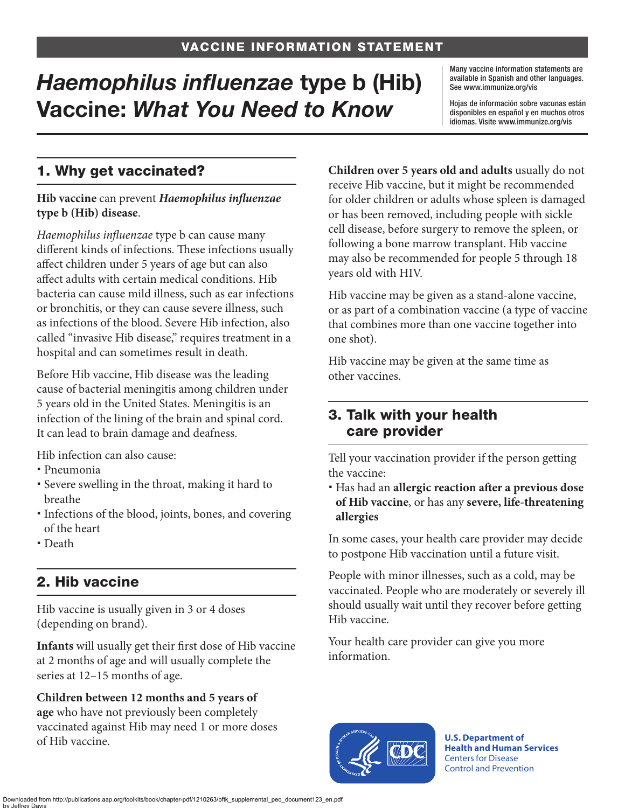# *Haemophilus influenzae* type b (Hib) Vaccine: *What You Need to Know*

Many vaccine information statements are available in Spanish and other languages. See [www.immunize.org/vis](http://www.immunize.org/vis)

Hojas de información sobre vacunas están disponibles en español y en muchos otros idiomas. Visite [www.immunize.org/vis](http://www.immunize.org/vis)

# 1. Why get vaccinated?

#### **Hib vaccine** can prevent *Haemophilus influenzae*  **type b (Hib) disease**.

*Haemophilus influenzae* type b can cause many different kinds of infections. These infections usually affect children under 5 years of age but can also affect adults with certain medical conditions. Hib bacteria can cause mild illness, such as ear infections or bronchitis, or they can cause severe illness, such as infections of the blood. Severe Hib infection, also called "invasive Hib disease," requires treatment in a hospital and can sometimes result in death.

Before Hib vaccine, Hib disease was the leading cause of bacterial meningitis among children under 5 years old in the United States. Meningitis is an infection of the lining of the brain and spinal cord. It can lead to brain damage and deafness.

Hib infection can also cause:

- Pneumonia
- Severe swelling in the throat, making it hard to breathe
- Infections of the blood, joints, bones, and covering of the heart
- Death

# 2. Hib vaccine

Hib vaccine is usually given in 3 or 4 doses (depending on brand).

**Infants** will usually get their first dose of Hib vaccine at 2 months of age and will usually complete the series at 12–15 months of age.

**Children between 12 months and 5 years of age** who have not previously been completely vaccinated against Hib may need 1 or more doses of Hib vaccine.

**Children over 5 years old and adults** usually do not receive Hib vaccine, but it might be recommended for older children or adults whose spleen is damaged or has been removed, including people with sickle cell disease, before surgery to remove the spleen, or following a bone marrow transplant. Hib vaccine may also be recommended for people 5 through 18 years old with HIV.

Hib vaccine may be given as a stand-alone vaccine, or as part of a combination vaccine (a type of vaccine that combines more than one vaccine together into one shot).

Hib vaccine may be given at the same time as other vaccines.

### 3. Talk with your health care provider

Tell your vaccination provider if the person getting the vaccine:

 Has had an **allergic reaction after a previous dose of Hib vaccine**, or has any **severe, life-threatening allergies**

In some cases, your health care provider may decide to postpone Hib vaccination until a future visit.

People with minor illnesses, such as a cold, may be vaccinated. People who are moderately or severely ill should usually wait until they recover before getting Hib vaccine.

Your health care provider can give you more information.



**U.S. Department of Health and Human Services**  Centers for Disease Control and Prevention